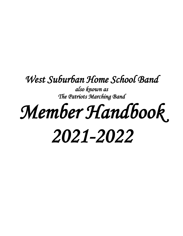# *West Suburban Home School Band*

*also known as The Patriots Marching Band* 

# *Member Handbook 2021-2022*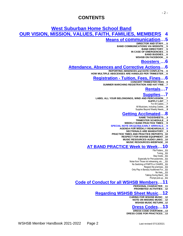# **CONTENTS**

# **West Suburban Home School Band OUR VISION, MISSION, VALUES, FAITH, FAMILIES, MEMBERS 4**

# **Means of communication…5**

- **DIRECTOR AND STAFF\_\_\_5**
- **BAND COMMUNICATIONS VIA WEBSITE\_\_\_5 BAND DIRECTORY\_\_\_5**
	- **IN CASE OF EMERGENCIES\_\_\_5**
		- **BAND BUDDIES\_\_\_6**
		- **WSHSB ON FACEBOOK\_\_\_6**

# **Boosters …6**

# **Attendance, Absences and Corrective Actions…6**

- **REPORTING ABSENCES and DATE CONFLICTS\_\_\_6**
- **HOW MULTIPLE ABSCENSES ARE HANDLED PER TRIMESTER\_\_\_6**

### **Registration - Tuition, Fees, Fines…6**

### **CONCERT TRIMESTER FEES\_\_6**

**SUMMER MARCHING REGISTRATION AND HAT FINE\_\_7**

# **Rentals…7**

### **Supplies…7**

- LABEL ALL YOUR BELONGINGS, WIND AND PERCUSSION
	- **SUPPLY LIST\_\_\_7**
		- For All Cadets
	- All Musicians, including Cadets**\_\_\_8** Supplies Beyond Weekly Needs**\_\_\_8**

# **Getting Acclimated…8**

- **NAME TAGS/SHEETS\_\_8**<br>IMESTER SCHEDULE 8
- **TRIMESTER SCHEDULE\_\_\_8**
- **WEEKLY BAND PRACTICE TIMES\_\_\_9**
- **SPECIAL NOTE ON EXTRA EARLY ARRIVALS\_\_\_9**
	- **AGENDA FOR WEEKLY REHEARSALS\_\_9**
		- **SECTIONALS ARE MANDATORY\_\_\_9**
- **PRACTICE TIMES AND PRACTICE REPORTS\_\_10**
	- **RESPECT FOR WSHSB EQUIPMENT\_\_10**
		- **MUSIC RESOURCES-AUDIO LINKS\_\_10**
			- **MUSIC RESOURCES-WEBPAGE\_\_10**

# **AT BAND PRACTICE Week to Week…10**

- File Folders**\_\_11**
	- Tuning**\_\_11**
- Stay Inside**\_\_11**
- Especially for Percussionists**\_\_11**
- Noise from Those not rehearsing, etc. **\_\_11** No Switching of PARTS or CHAIRS**\_\_11**
	- Respect the premises\_\_**11**
- Only Play in Band(s) Auditioned For**\_\_11**
	- No Hats\_\_**11**
	- Talking During Band**\_\_11**
		- Prompt pick-up**\_\_11**

# **Code of Conduct for all WSHSB Members…11**

- **PERSONAL CHARACTER\_\_11**
- **PROHIBITED ACTIVITIES\_\_12**

# **Regarding WSHSB Sheet Music…12**

**CARING FOR WSHSB MUSIC\_\_12 NOTE ON MISSING MUSIC\_\_12 WSHSB MUSIC RETURN\_\_12**

# **Dress Codes…13**

**DRESS CODE OVERVIEW\_\_13 DRESS CODE FOR PRACTICES\_\_13**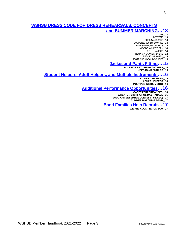# **and SUMMER MARCHING…13**

TOPS**\_\_13**

- 3 -

- BOTTOMS**\_\_13** SHOES and SOCKS**\_\_14**
- CUMMERBUNDS and BOWTIES\_\_**14**
- BLUE SYMPHONIC JACKETS**\_\_14**
	- AWARDS and JEWELERY**\_\_14**
		- HAIR and MAKEUP**\_\_14**
- REMAIN IN CONCERT DRESS**\_\_14**
	- REGARDING SKIRTS**\_\_15**
- REGARDING MARCHING SHOES\_\_**15**

# **Jacket and Pants Fitting…15**

**RULE FOR RETURNING JACKETS\_\_15 USED BAND CLOTHING\_\_15**

# **Student Helpers, Adult Helpers, and Multiple Instruments…16**

- **STUDENT HELPERS\_\_16**
- **ADULT HELPERS\_\_16**
- **MULTIPLE INSTRUMENTS\_\_16**

# **Additional Performance Opportunities…16**

- **CADET PERFORMANCES\_\_16**
- **WHEATON LIGHT-A-HOLIDAY PARADE\_\_16**
- **SOLO AND ENSEMBLE CONTEST (aka SEC)\_\_17**
	- **SUMMER MARCHING BAND\_\_17**

# **Band Families Help Recruit…17**

**WE ARE COUNTING ON YOU\_\_17**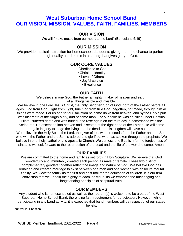# **West Suburban Home School Band OUR VISION, MISSION, VALUES, FAITH, FAMILIES, MEMBERS**

# **OUR VISION**

We will "make music from our heart to the Lord" (Ephesians 5:19)

# **OUR MISSION**

We provide musical instruction for homeschooled students giving them the chance to perform high quality band music in a setting that gives glory to God.

# **OUR CORE VALUES**

• Obedience to God

- Christian Identity
- Love of Others
- Joyful service
- Excellence

# **OUR FAITH**

We believe in one God, the Father almighty, maker of heaven and earth, of all things visible and invisible.

We believe in one Lord Jesus Christ, the Only Begotten Son of God, born of the Father before all ages. God from God, Light from Light, true God from true God, begotten, not made, through him all things were made. For us and for our salvation he came down from heaven, and by the Holy Spirit was incarnate of the Virgin Mary, and became man. For our sake he was crucified under Pontius Pilate, suffered death and was buried, and rose again on the third day in accordance with the Scriptures. He ascended into heaven and is seated at the right hand of the Father. He will come again in glory to judge the living and the dead and his kingdom will have no end. We believe in the Holy Spirit, the Lord, the giver of life, who proceeds from the Father and the Son, who with the Father and the Son is adored and glorified, who has spoken through the prophets. We believe in one, holy, catholic\* and apostolic Church. We confess one Baptism for the forgiveness of sins and we look forward to the resurrection of the dead and the life of the world to come. Amen.

# **OUR FAMILIES**

We are committed to the home and family as set forth in Holy Scripture. We believe that God wonderfully and immutably created each person as male or female. These two distinct, complementary genders together reflect the image and nature of God. We believe God has ordained and created marriage to exist between one man and one woman with absolute marital fidelity. We view the family as the first and best tool for the education of children. It is our firm conviction that we uphold the dignity of each individual as we embrace the unchanging and longstanding principles of scriptural truth.

# **OUR MEMBERS**

Any student who is homeschooled as well as their parent(s) is welcome to be a part of the West Suburban Home School Band; there is no faith requirement for participation. However, while participating in any band activity, it is expected that band members will be respectful of our stated

\*universal Christian

beliefs.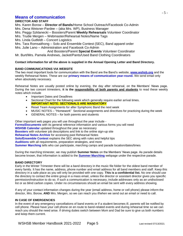# **Means of communication**

### **DIRECTOR AND STAFF**

Mrs. Karen Borow – **Director of Bands**/Home School Outreach/Facebook Co-Admin Mrs. Dena Weisner-Pardee – (aka Mrs. WP), Business Manager

Mrs. Peggy Szklanecki – Boosters/Parent **Weekly Rehearsals** Volunteer Coordinator

Mrs. Trudie Mergen – Webmaster/Rehearsal Notes/Name Tags

Mrs. Linda Gutfeldt – Concert Logistics

Mrs. Tara Romsaithong – Solo and Ensemble Contest (SEC), Band apparel order

Mrs. Julie Lano – Administration and Facebook Co-Admin

And Boosters/Parent **Special Events** Volunteer Coordinator

Mr. Burt/Mrs. Pamela Andrews, Jacket/Pants/Used Band Clothing Coordinators

### **Contact information for all the above is supplied in the Annual Opening Letter and Band Directory.**

### **BAND COMMUNICATIONS VIA WEBSITE**

The two most important tools for communication with the Band are the Band's website, **[www.wshsb.org](http://www.wshsb.org/)** and the weekly Rehearsal Notes. These are our **primary means of communication year-round.** We send email only when absolutely necessary.

Rehearsal Notes are usually posted online by evening, the day after rehearsal, on the Members' News page. During the two concert trimesters, **it is the responsibility of both parents and students** to read these weekly notes which include

- Important Dates and Deadlines
- Sectional Chart for the following week which generally require earlier arrival times. **IMPORTANT NOTE: SECTIONALS ARE MANDATORY**
- Reset Team Assignments for after Symphonic Band the next week
- MUSIC NOTES "Homework" Sectional assignments and directives for practicing during the week
- GENERAL NOTES for both parents and students

Other important web pages you will use throughout the year include - **[Forms/Documents](http://wshsb.org/forms.htm)** with its general reference information and various forms you will need **WSHSB Calendar** updated throughout the year as necessary **Boosters** with volunteer job descriptions and link to the online sign-up site **Rehearsal Notes Archive** for accessing past Rehearsal Notes **Solo/Ensemble Contest** explains the SEC along with rules and helpful tips **Auditions** with all requirements, preparation strategies, and more **Summer Marching** tells who can participate, marching camps and parade location/dates/times

During the marching trimester, we may publish **Summer Notes** on the Members' News page. As parade details become known, that information is added to the **[Summer Marching](http://wshsb.org/marching.htm)** webpage under the respective parade.

### **BAND DIRECTORY**

Early in the Winter Trimester there will be a band directory in the music file folder for the oldest band member of every family. It has the name, address, phone number and email address for all band members and staff. Keep this directory in a safe place as you will only be provided with one copy. **This is a confidential list.** No one should use the directory to contact the entire group in a mass email, unless the director or assistant director gives you specific permission/instruction to do so. If such a communication is necessary, include addresses only as an undisclosed list or as blind carbon copies. Under no circumstances should an email be sent with every address showing.

If any of your contact information changes during the year (email address, home or cell phone) please inform the director, Mrs. Borow, **AND** Mrs. Mergen, so we can reach you if/when we send out an email or need to call.

### **IN CASE OF EMERGENCIES**

In the event of any emergency cancellations of band events or if a student becomes ill, parents will be notified by cell phone. Please have your cell phone on en route to band-related events and during rehearsal time so we can reach you should the need arise. If driving duties switch between Mom and Dad be sure to give us both numbers and keep them current.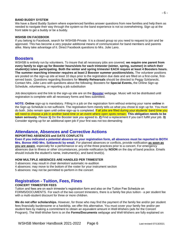### **BAND BUDDY SYSTEM**

We have a Band Buddy System where experienced families answer questions from new families and help them as needed to navigate their way through the system so the band experience is not so overwhelming. Sign up at the front table to get a buddy or be a buddy.

### **WSHSB ON FACEBOOK**

If you belong to Facebook, search for WSHSB-Private. It is a closed group so you need to request to join and be approved. This has become a very popular additional means of communication for band members and parents alike. Many take advantage of it. Direct Facebook questions to Mrs. Julie Lano.

### **Boosters**

WSHSB is entirely run by volunteers. To insure that all necessary jobs are covered, **we require one parent from every family to sign-up for Booster hours/slots for each trimester (winter, spring, summer) in which their student(s) is/are participating. Both the winter and spring trimester EACH require at least 4 Boosters hours. The summer marching trimester requires at least 2 Booster summer positions/slots.** The volunteer positions are posted on the sign-up site at least 10 days prior to the registration due date and are filled on a first-come, firstserved basis. Questions regarding Boosters for **Weekly Rehearsals** should be directed to Peggy Szklanecki**.** Contact Mrs. Julie Lano with questions about the following; Boosters for **Special Events,** the Online Sign-up Schedule, volunteering, or reporting a job substitution

Job descriptions and the link to the sign-up site are on the **[Booster](http://wshsb.org/boosters.htm)** webpage. Music will not be distributed until registration is complete with all necessary forms and fees submitted.

**NOTE: Online** sign-up is mandatory. Filling in a job on the registration form without entering your name **online** in the Sign-up Schedule is not sufficient. The registration form merely tells us what you chose to sign up for. You must do both. Jobs remain open until online sign-up is completed. If all jobs are filled during your students' band time you will need to choose a job in another band time or an event where open spots remain. **This obligation needs to be taken seriously.** Please **1)** Do the Booster task you agreed to. **2)** Find a replacement if you can't fulfill your job. **3)** Consider signing-up for an additional open job if your first was not too demanding

# **Attendance, Absences and Corrective Actions**

### **REPORTING ABSENCES and DATE CONFLICTS**

**Even if you indicated a potential absence on your registration form, all absences must be reported to BOTH Mrs. Borow AND Mrs. Szklanecki by email.** For planned absences or conflicts, provide notification **as soon as you are aware**, especially for a performance or any of the three practices prior to a concert. For emergency absences due to illness or other circumstances, provide notification by **NOON** on the day of band practice. Emails should include the student's name, instrument(s), and band level(s).

### **HOW MULTIPLE ABSENCES ARE HANDLED PER TRIMESTER**

3 absences: may result in chair demotion/ automatic re-audition

- 4 absences: may move to the bottom of the roster for your instrument section
- 5 absences: may not be permitted to perform in the concert

# **Registration - Tuition, Fees, Fines**

### **CONCERT TRIMESTER FEES**

Tuition and fees are on each trimester's registration form and also on the Tuition Fee Schedule on FORMS/DOCUMENTS. For each of the two concert trimesters, there is a family fee plus tuition - a per student fee with a multi-student discount for three or more children.

**We do not offer scholarships.** However, for those who may find the payment of the family fee and/or per student fees financially burdensome or a hardship, we offer this alternative. You must cover your family fee and/or per student fees by making a commitment to obtain an equivalent amount in Well-Wishers (ads for the Concert Program). The Well-Wisher form is on the **Forms/Documents** webpage and Well-Wishers are fully explained on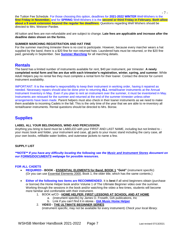the Tuition Fee Schedule. For those choosing this option, deadlines for **2021-2022 WINTER** Well-Wishers is the **first Friday in November,** and for **SPRING** Well-Wishers it is the **second or third Friday in February. Both allow about a 9 week extension beyond the regular fee deadlines.** Questions regarding Well Wishers should be directed to Mrs. Weisner-Pardee.

All tuition and fees are non-refundable and are subject to change. **Late fees are applicable and increase after the deadline dates shown on the forms.**

### **SUMMER MARCHING REGISTRATION AND HAT FINE**

For the summer marching trimester there is no cost to participate. However, because every marcher wears a hat supplied by the band, there is a \$20 fine for non-returned hats. Laundered hats must be returned, or the \$20 fine paid, generally in September. See **[Summer Marching](http://www.wshsb.org/marching.htm)** for all marching details.

# **Rentals**

The band has a limited number of instruments available for rent, \$40 per instrument, per trimester. **A newly completed rental form and fee are due with each trimester's registration, winter, spring, and summer**. While Adult Helpers pay no rental fee they must complete a rental form for their loaner. Contact the director for current instrument availability.

IMPORTANT: It is the member's responsibility to keep their instrument in working order, having it repaired as needed. Necessary repairs should also be done prior to returning **ALL** rental/loaner instruments at the Annual Instrument Inventory in May. Even if you plan to rent an instrument over the summer, it must be inventoried in May. Instruments are reissued for the summer and returned at the end of the summer trimester unless other arrangements have been made. Parent helpers must also check in their loaner instruments as we need to make them available to incoming Cadets in the fall. This is the only time of the year that we are able to re-inventory all rental/loaner instruments. Rental questions should be directed to Mrs. Borow.

# **Supplies**

### **LABEL ALL YOUR BELONGINGS, WIND AND PERCUSSION**

Anything you bring to band must be LABELED with your FIRST AND LAST NAME, including but not limited to your music book and folder, your instrument and case, all parts to your music stand including the carry case, all your own books, refillable water bottles, and outerwear jackets to name a few.

### **SUPPLY LIST**

*\*\*NOTE\*\* If you have any difficulty locating the following see the Music and Instrument Stores document on our [FORMS/DOCUMENTS](http://wshsb.org/forms.htm) webpage for possible resources.*

### **FOR ALL CADETS**

- **REQUIRED - BOOK - ESSENTIAL ELEMENTS for Band, BOOK 1 "Gold"** (instrument specific) (Or you can use Essential Elements 2000, Book 1, the older title, which has the same contents.)
- **Either of the following two items are RECOMMENDED**. It is **best** if all wind beginners obtain (purchase or borrow) the Home Helper book and/or Volume 1 of The Ultimate Beginner video over the summer. Working through the sessions in the book and/or watching the video a few times, students will become more familiar and comfortable with their instrument.
	- 1. BOOK w/CD **HOME HELPER: FIRST LESSONS AT SCHOOL AND AT HOME**
		- a. (instrument specific) by James O. Froseth, GIA publications, Inc
		- b. Link if you can't find it in stores **[GIA Music Home Helper](http://www.giamusic.com/products/P-homehelper.cfm)**
	- 2. **VIDEO - THE ULTIMATE BEGINNER SERIES** (instrument specific, may not be available for every instrument) *Check your local library.*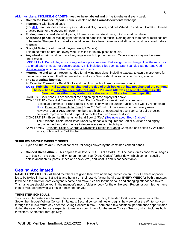### **ALL musicians, INCLUDING CADETS, need to have labeled and bring** to rehearsal every week:

- **Completed Practice Report** Form is located on the **Forms/Documents** webpage
- **Instrument** with labeled case (For **ALL** percussionists this always includes - sticks, mallets, and bells/stand. In addition, Cadets will need practice pads for the second trimester.)
- **Folding music stand** label all parts, if there is a music stand case, it too should be labeled.
- **Sharpened pencil** for making light notations on band issued music. Nothing other than pencil markings are to be made. The quantity of marks should be kept to a bare minimum and all marks must be erased before returning.
- **Straight Mute** (for all trumpet players, except Cadets) This mute must be brought every week if called for in any piece of music.
- **Any sheet music** must be in a folder, large enough to protect music. Cadets may or may not be issued sheet music.

IMPORTANT: Do not play music assigned in a previous year. Part assignments change. Use the music as assigned each trimester or concert season. This includes titles such as Star Spangled Banner and God Bless America which are also reassigned each year.

- **Metronome and tuner -** Recommended for all wind musicians, including Cadets, to own a metronome for use in daily practicing. It will be needed for auditions. Winds should also consider owning a tuner.
- **The appropriate book(s)**,

All Essential Element for Band Books and the Unisonal book are instrument specific.

**NOTE: Publisher, Hal Leonard has changed the title of their books but has not changed the content. The new title is Essential Elements for Band. Previous title was Essential Elements 2000. You can use either title, contents are the same. All are instrument specific.**

CADETS - Cadet book is described at the beginning of the supply list above.

CONCERT JR - Essential Elements for Band Book 2 "Red" for use at weekly rehearsals. (Essential Elements for Band Book 1 "Gold" is only for the Junior audition, not weekly rehearsals) **Note:** Essential Elements for Band Book 2 "Red" will not necessarily be used every week. However, Junior **AND** Senior members are highly encouraged to use Book 2 for daily practice, personal improvement and preparation for the Concert Senior audition.

CONCERT SR - Essential Elements for Band Book 2 "Red" (See note about Book 2 above)

- The "Unisonal Scale" book listed under Symphonic is required for Senior auditions and highly recommended for daily practice to improve scales and technique.
- SYMPHONIC Unisonal Scales, Chords & Rhythmic Studies for Bands Compiled and edited by William C White, published by Carl Fischer

### **SUPPLIES BEYOND WEEKLY NEEDS**

- **Lyre and flip-folder -** Used at concerts, for songs played by the combined concert bands.
- **Concert Dress Attire** This applies to all levels INCLUDING CADETS. The basic dress code for all begins with black on the bottom and white on the top. See "Dress Codes" further down which contain specific details about shirts, pants, shoes and socks, etc., and what is and is not acceptable**.**

# **Getting Acclimated**

**NAME TAGS/SHEETS** – All band members are given their own name tag printed on an 8 ½ x 11 sheet of paper. It's to be folded in half to 8  $\frac{1}{2}$  x 5  $\frac{1}{2}$  and hung it on their stand, facing the director EVERY WEEK for both trimesters. It will help the director learn everyone's name and make it easier for the various and changing attendance takers. This name tag should be kept in the member's music folder or book for the entire year. Report lost or missing name tags to Mrs. Mergen who will make a new one for you.

### **TRIMESTER SCHEDULE**

Two concert trimesters are followed by a voluntary, summer marching trimester. First concert trimester is late September through Winter Concert in January. Second concert trimester begins the week after the Winter concert through the music return day after the Spring Concert in May. There are a few additional performance opportunities during the year. Members are expected to make a commitment for the entire Concert Season, which includes both trimesters, September through May.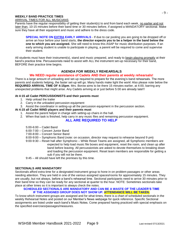### **WEEKLY BAND PRACTICE TIMES**

### ARRIVAL TIMES FOR ALL MUSICIANS

Parents have the regular responsibility of getting their student(s) to and from band each week, no earlier and not later than, 10-15 minutes before their band time or 30 minutes before, if assigned a MANDATORY sectional. Make sure they have all their equipment and music and adhere to the dress code.

**SPECIAL NOTE ON EXTRA EARLY ARRIVALS** - If due to car pooling you are going to be dropped off or arrive an hour before your band starts, **the director expects you to be a helper in the band below the one to which you are assigned.** She will need to know this ASAP for music distribution purposes. If an early arriving student is unable to participate in playing, a parent will be required to come and supervise their student.

All students must have their instrument(s), stand and music prepared, and ready to begin playing promptly at their band's practice time. Percussionists need to assist with ALL the instrument set-up necessary for their band, BEFORE their practice time begins.

### **AGENDA FOR WEEKLY REHEARSALS**

### **We NEED regular assistance of Cadets AND their parents at weekly rehearsals!**

There is a large amount of unloading and set-up required to prepare for the evening's band rehearsals. The more parents and students helping, the faster set-up will go. Many hands make light the work! Also please note below the **REQUIRED ARRIVAL TIME OF 4:15pm**. Mrs. Borow aims to be there 15 minutes earlier, at 4:00, barring any unexpected problems that might arise. Any Cadets arriving at or just before 5:00 are already late!!!

### **At 4:15 all Cadet PERCUSSIONISTS and their parents must**

- 1. Help unload the trailer
- 2. Carry in the unloaded percussion equipment
- 3. Assist the coordinator in setting-up all the percussion equipment in the percussion section.

### **At 4:15 all Cadet WIND players and their parents must**

- 1. Assist the parent helper in charge with setting-up chairs in the hall.
- 2. When that task is finished, help carry in any music files and remaining percussion equipment.

### **ALL ARE REQUIRED TO HELP**

5:00-6:00 – Cadet Band

6:00-7:00 – Concert Junior Band

- 7:00-8:00 Concert Senior Band
- 8:00-9:00 Symphonic Band (note: on occasion, director may request to rehearse beyond 9 pm)
- 9:00-9:30 Reset hall after Symphonic While Reset Teams are assigned, all Symphonic members are expected to help load music file boxes and equipment, reset the room, and clean up after band before leaving. All percussionists are asked to devote themselves to breaking down and loading the percussion equipment. Reset team members are responsible for getting a sub if you will not be there.

9:45 – All should have left the premises by this time.

### **SECTIONALS ARE MANDATORY**

Sectionals afford extra time for a designated instrument group to hone in on problem passages or other areas needing attention. They are held in one of the various assigned spaces/rooms for approximately 15 minutes. They are usually, but not always, before a band's rehearsal time. Sectional participants need to arrive 30 minutes prior to their band time so they can be ready for any sectional at quarter to the hour. NOTE: Sometimes sectionals take place at other times so it is important to always check the notes.

### **SCHEDULED SECTIONALS ARE MANDATORY AND CAN BE A WASTE OF THE LEADER'S TIME IF THE ASSIGNED GROUP DOES NOT SHOW UP. ATTENDANCE WILL BE TAKEN.**

To know which instrument groups are assigned and for what times, there is a chart of scheduled sectionals in the weekly Rehearsal Notes and posted on our Member's News webpage for quick reference. Specific Sectional assignments are listed under each band's Music Notes. Come prepared having practiced with special emphasis on the specified exercises/passages/measures.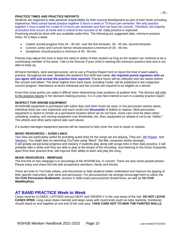### **PRACTICE TIMES AND PRACTICE REPORTS**

Students are expected to take personal responsibility for their musical development as part of their home schooling experience. Most school bands practice together 5 hours a week or 70 hours per semester. We only practice together 1 hour a week for a total of 14 hours per semester and then we have our concert. Therefore, the majority of practice time occurs at home and is critical to the success of all. Daily practice is expected. Practicing should be done with any available audio links. The following are suggested daily, minimum practice times, for 5 days a week.

- Cadets should progress from 20 30 min. over the first trimester, 30 45 min. second trimester.
- Concert Junior and Concert Senior should practice a minimum of 30 45 min.
- Symphonic should practice a minimum of 45 60 min.

Parents may adjust this time to meet the need or ability of their student as long as the student can continue to be a contributing member of the band. Talk to the Director if your child is meeting this minimum practice time and is not able to keep up.

All band members, wind and percussion, are to use a Practice Report form to report the total of each week's practice, throughout the year. Besides the student's first AND last name, **the required parent signature tells us you agree with and accept the practice time reported.** Practice hours will be collected until two weeks before the concert and tallied. The three highest from each band, including Cadet, will be published in the respective concert program. Attendance at dress rehearsal and the concert are required to be eligible as a winner.

Know that close points can make it difficult when determining chair positions at audition time. The director will refer to the practice reports in her decision-making process. It is in your best interest to turn in a weekly practice report.

### **RESPECT FOR WSHSB EQUIPMENT**

All WSHSB equipment is purchased with tuition fees and other funds we raise. In the percussion section alone, individual items are very expensive and each could cost **thousands** of dollars to replace. Most percussion equipment is meant to remain at a permanent location which we do not have. Great care must be taken when unloading, loading, and moving equipment over thresholds, etc. Also, equipment on wheels is not to be "ridden." The wheels and other parts cannot take such abuse.

If a student damages equipment parents will be required to help cover the cost to repair or replace.

### **MUSIC RESOURCES – AUDIO LINKS**

Two sites are particularly useful for providing audio links for the songs we are playing. They are: [JW Pepper](http://www.jwpepper.com/sheet-music/welcome.jsp) and [Stantons.](http://www.stantons.com/) You might also try searching YouTube using "Band", the title, composer and/or arranger. It will greatly aid personal progress and mastery if students play along with songs links in their daily practice. It will probably take a while until they are able to play at the tempo of the recording. Just listening to the music frequently, apart from their practice time, will improve their ability to learn and play the song.

### **MUSIC RESOURCES - WEBPAGE**

The first link on this webpage is to recordings of the WSHSB live, in concert. There are also some parade photos. Please enjoy and share this link with prospective members, family and friends.

There are links to YouTube videos, and documents to help students better understand and improve the playing of their specific instrument, both wind and percussion. For percussionists we strongly encourage them to utilize the **Vic Firth Percussion Rudiments**, lessons in skills every percussionist should know, as well as **Vic Firth WebRhythms**.

### **AT BAND PRACTICE Week to Week**

Cases must be CLOSED, LATCHED and put NEAT and ORDERLY in the coat areas of the hall. **DO NOT LEAVE CASES OPEN**. Long cases (bass clarinet) and large cases with round ends (such as tuba, baritone, trombone) should stand on end together at one end of the coat area. **TAKE CARE NOT TO MAR THE PAINTED WALLS**.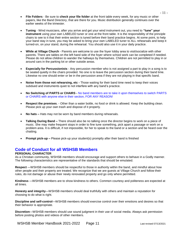- **File Folders** Be sure to **check your file folder** at the front table every week, for any music or other papers, like the Band Directory, that are there for you. Music distribution generally continues over the earlier weeks of the trimester.
- **Tuning** Wind musicians, after you arrive and get your wind instrument out, you need to **"tune" your instrument** using your own LABELED tuner or one at the front table. It is the responsibility of the principle chairs to see to it that their entire section is tuned before their band practice begins. At some point, to help your band stay in tune, you may be asked to bring your own LABELED tuner to ALL rehearsals and keep it turned-on, on your stand, during the rehearsal. You should also use it in your daily practice.
- **While at Village Church** Parents are welcome to use the foyer lobby area to visit/socialize with other parents. There are tables on the left hand side of the foyer where school work can be completed if needed. Please do not allow children to wander the hallways by themselves. Children are not permitted to play in or around cars in the parking lot or other outside areas.
- **Especially for Percussionists** Any percussion member who is not assigned a part to play in a song is to be seated quietly in the chairs provided. No one is to leave the percussion section during their band time. Likewise no one should enter or be in the percussion area if they are not playing in that specific band.
- **Noise from those not rehearsing, etc -** Those waiting for their band time need to keep their voices subdued and instruments quiet to not interfere with any band's practice.
- **No Switching of PARTS or CHAIRS -** No band members are to take it upon themselves to switch PARTS or CHAIRS with anyone else in their section, FOR ANY REASON!
- **Respect the premises**. Other than a water bottle, no food or drink is allowed. Keep the building clean. Please pick up your own trash and dispose of it properly.
- **No hats –** Hats may not be worn by band members during rehearsals.
- **Talking During Band –** There should also be no talking once the director begins to work on a piece of music. She may make frequent stops in order to fine tune something, pick apart a passage or work on a problem area. It is difficult, if not impossible, for her to speak to the band or a section and be heard over the chatting.
- **Prompt pick-up –** Please pick-up your student(s) promptly after their band is finished

# **Code of Conduct for all WSHSB Members**

### **PERSONAL CHARACTER**

As a Christian community, WSHSB members should encourage and support others to behave in a Godly manner. The following characteristics are representative of the standards that should be emulated.

**Respect** —WSHSB members should be respectful to those in authority within the band, and mindful about how other people and their property are treated. We recognize that we are guests at Village Church and follow their rules, do not damage or abuse their newly renovated property and go only where permitted.

**Kindness** —WSHSB members are to show kindness to others. Common courtesy and politeness are expected at all times.

**Honesty and integrity**—WSHSB members should deal truthfully with others and maintain a reputation for choosing to do what is right.

**Discipline and self-control**—WSHSB members should exercise control over their emotions and desires so that their behavior is appropriate.

**Discretion**—WSHSB members should use sound judgment in their use of social media. Always ask permission before posting photos and videos of other members.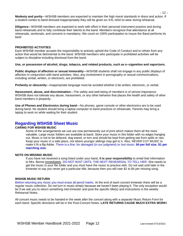**Modesty and purity**—WSHSB members are expected to maintain the high moral standards in dress and action. If a student comes to band dressed inappropriately they will be given an XXL tshirt to wear during rehearsal.

**Diligence**—WSHSB members are expected to work with effort in their personal instrument practice and during band rehearsals and to fully contribute their talents to the band. Members recognize that attendance at all rehearsals, sectionals, and concerts is mandatory. We count on 100% participation to insure the Band performs its best!

### **PROHIBITED ACTIVITIES**

Each WSHSB member accepts the responsibility to actively uphold the Code of Conduct and to refrain from any action that would be detrimental to the band. WSHSB members who participate in prohibited activities will be subject to discipline including dismissal from the band.

### **Use, or possession of alcohol, drugs, tobacco, and related products, such as e–cigarettes and vaporizers.**

**Public displays of affection or sexual immorality**—WSHSB students shall not engage in any public displays of affection in conjunction with band activities. Also, any involvement in pornography or sexual communications, including verbal, written, or electronic, are prohibited.

**Profanity or obscenity**—Inappropriate language must be avoided whether it be written, electronic, or verbal.

**Harassment, abuse, and discrimination**—The safety and well-being of members is of utmost importance. WSHSB does not tolerate any abuse, harassment, or any other behavior that places the health and safety of other band members in jeopardy.

**Use of Phones and Electronics during band**—No phones, game console or other electronics are to be used during band. No student should bring a laptop computer to band practices or rehearsals. Parents may bring a laptop to work on while waiting for their student.

# **Regarding WSHSB Sheet Music**

### **CARING FOR WSHSB MUSIC**

Some of the arrangements we use are now permanently out of print which makes them all the more valuable. Large music folders are available at band. Store your music in this folder with no edges hanging out. Music is not to be defaced, dog-eared, or torn and should be kept from getting wet from spills or rain. Keep your music in a safe place, not where younger siblings may get to it. Also, NEVER CUT MUSIC to make it fit a flip-folder. There is a fine, for damaged (in our judgment) or lost music; **\$4 per full size**, **\$1 per marching size**.

### **NOTE ON MISSING MUSIC**

If you have not received a song listed under your band, **it is your responsibility** to email that information to Mrs. Borow immediately. DO NOT WAIT UNTIL THE NEXT REHEARSAL TO TELL HER. She needs to get the music in your file folder and you must have the music to practice with. Do not wait until later in the trimester to say you never got a particular title, because then you will owe \$1 to \$4 per missing song.

### **WSHSB MUSIC RETURN**

Before returning any music you must erase all pencil marks. At the end of each concert trimester there will be a regular music collection. Do not turn in music simply because we haven't been playing it. The only exception would be if we ask you to return something mid-trimester and post the specific title(s) and instructions in the weekly Rehearsal Notes.

All concert music needs to be handed-in the week after the concert along with a separate Music Return Form for each band. Specific directions will be in the Post-Concert Notes. **LATE RETURNS CAUSE MUCH EXTRA WORK!**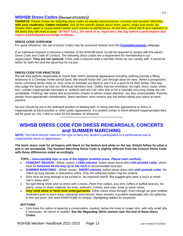## **WSHSB Dress Codes (***Revised 07/13/2021)*

*PARENTS: Please review the following dress codes for weekly band practices, concerts and Summer Marching with your student(s), Cadets included. See all the specific details about shirts, pants, shoes and socks, etc. Review them again a couple weeks before each concert or performance. At that time, check the fit and readiness of the items they will need to wear.* **DO NOT CALL the week of or, much less, the day before a performance and expect a jacket/pants exchange or fitting.**

### **DRESS CODE OVERVIEW**

For quick reference, this set of Dress Codes may be accessed directly from the **[Forms/Documents](http://wshsb.org/forms.htm)** webpage.

If an individual chooses to become a member of the WSHSB band, he will be required to comply with the band's Dress Code and Code of Conduct. The following dress codes are a requirement for membership in our organization. **They are not optional.** If this code is beyond what a member thinks he can comply with, it would be better for both him and the band that he not join.

### **DRESS CODE FOR PRACTICES**

We will hold parents responsible to insure their child's personal appearance including clothing provide a fitting testimony to a Christian home school band. We should honor the Lord through what we wear. When a prospective home schooling family visits us, they come to evaluate our band to see if it is a good fit for their family. One way they judge the band is by how our individual members look. Outfits that are immodest, too tight, short, loose, sheer, torn, contain inappropriate messages or symbols and any hair color that is not a naturally occurring shade are not acceptable. Clothing, hair styles and accessories chosen to attract undue attention, are also unacceptable. Parents, please show appropriate consideration. Band members must remove any hat before taking your place at band practice.

No one should be put in the awkward position of dealing with, or being told their appearance or dress is inappropriate at band practice or other public appearance. If a student comes to band dressed inappropriately they will be given an XXL t-shirt to wear for the duration of rehearsal.

**~~~~~~~~~~~~~~~~~~~~~~~~~~~~~~~~~~~~**

# **WSHSB DRESS CODE FOR DRESS REHEARSALS, CONCERTS and SUMMER MARCHING**

**NOTE:** The band director reserves the right to deny any student's participation in a performance due to inappropriate dress or appearance.

**The basic dress code for all begins with black on the bottom and white on the top. Details follow for what is and is not acceptable. The Summer Marching Dress Code is slightly different from the Concert Dress Code with those differences noted accordingly.**

**TOPS –** *Unacceptable tops is one of the biggest problem areas. Please read carefully.*

- **CONCERT SEASON** White, woven, **LONG-sleeved**, button-down dress shirt **with pointed collar**, which must be **buttoned all the way up to the neck** to accommodate bow ties.
- **SUMMER MARCHING -** White, woven, **SHORT-sleeved**, button-down dress shirt **with pointed collar.** No rolled-up long sleeves or sleeveless shirts. Only the collar/top button may be undone.
- Shirt must be long enough to be tucked-in. No exposed midriff. We suggest girls wear a boy's or small men's dress shirt.
- No tight-fitting shirts and no shirts with v-necks, Peter-Pan collars, lacy trim, ruffles or puffed sleeves. No satiny, shiny or sheer material. No knits, pullovers, t-shirts, tank tops, turtle or mock necks.
- **Only solid white or flesh-tone undergarments.** Other colors show through. *Even though we give multiple reminders prior to each dress rehearsal and concert, there remains a problem especially with not adhering to this last point. We need EVERYONE to comply. Highlighting added for emphasis.*

### **BOTTOMS**

 Girls have the option of wearing a conservative, modest, below the knee or longer skirt, with only small slits if necessary. No denim or leather. *See the Regarding Skirts section near the end of these Dress Codes.*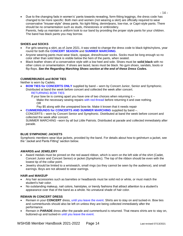Due to the changing fads in women's' pants towards revealing, form-fitting leggings, the dress code has changed to be more specific: Both men and women (not wearing a skirt) are officially required to wear conservative "trouser-style" dress pants. No tight-fitting, denim/jeans, low-rise, or Capri-style pants. There should be no ornamentation such as studs, rhinestones or embroidery. Parents, help us maintain a uniform look to our band by providing the proper style pants for your children. The band has black pants you may borrow.

### **SHOES and SOCKS**

- For girls wearing a skirt, as of June 2021, it was voted to change the dress code to black tights/nylons, year round for both the **CONCERT SEASON** and **SUMMER MARCHING**.
- Anyone wearing pants must wear black, opaque, dress/trouser socks. Socks must be long enough so no color other than solid black is visible below the hem of the pants, when seated.
- Black leather shoes of a conservative style with a low heel and sole. Shoes must be **solid black** with no other colors or ornamentation. If shoes are laced, laces must be black. No gym shoes, sandals, boots or flip-flops. *See the Regarding Marching Shoes section at the end of these Dress Codes.*

### **CUMMERBUNDS and BOW TIES**

Neither is worn by Cadets.

- **BOW TIES for CONCERTS ONLY** supplied by band worn by Concert Junior, Senior and Symphonic. Distributed at band the week before concert and collected the week after concert.
	- RETURNING BOW TIES

If your bow tie is coming apart you have one of two choices when returning it  $-$ Make the necessary sewing repairs with red thread before returning it and owe nothing. OR

- Pay \$5 along with the unrepaired bow tie. Make it known that it needs repair
- **CUMMERBUNDS for CONCERTS AND SUMMER MARCHING** supplied by band –.

CONCERTS – worn by Concert Senior and Symphonic. Distributed at band the week before concert and collected the week after concert.

SUMMER MARCHING –worn by all but Little Patriots. Distributed at parade and collected immediately after parade.

### **BLUE SYMPHONIC JACKETS**

Symphonic members wear blue jackets, provided by the band. For details about how to get/return a jacket, see the "Jacket and Pants Fitting" section below.

### **AWARDS and JEWELERY**

- Award medals must be pinned on the red award ribbon, which is worn on the left side of the shirt (Cadet, Concert Junior and Concert Senior) or jacket (Symphonic). The top of the ribbon should be even with the lowest tip of the collar point.
- Jewelry should be limited to a wristwatch, small rings (so they cannot be seen by the audience), and small earrings. Boys are not allowed to wear earrings.

### **HAIR and MAKEUP**

- Any hair accessories such as barrettes or headbands must be solid red or white, or must match the student's hair color.
- No outstanding makeup, nail colors, hairstyles, or trendy fashions that attract attention to a student's appearance over that of the band as a whole. No unnatural shade of hair color.

### **REMAIN IN CONCERT DRESS**

- Remain in your **CONCERT** dress, until you leave the event. Shirts are to stay on and tucked-in. Bow ties and cummerbunds should also be left on unless they are being collected immediately after the performance.
- Remain in **PARADE** dress after the parade and cummerbund is returned. That means shirts are to stay on, buttoned-up and tucked-in until you leave the event.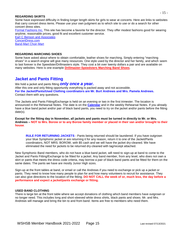### **REGARDING SKIRTS**

Some have expressed difficulty in finding longer length skirts for girls to wear at concerts. Here are links to websites that carry concert dress items. Please use your own judgment as to which site to use or do a search for other concert dress sites.

[Formal Fashions Inc.](https://www.formalfashionsinc.com/) This site has become a favorite for the director. They offer modest fashions good for wearing anytime, reasonable prices, good fit and excellent customer service.

[Earl C Benson and Associates](https://www.ecbensonassociates.com/) [ConcertDress.com](http://concertdress.com/) [Band-Mart Choir-Mart](https://bandchoirmart.com/shop)

### **REGARDING MARCHING SHOES**

Some have asked about where to obtain comfortable, leather shoes for marching. Simply entering "marching shoes" in a search engine will give many resources. One style used by the director and her family, and which seem to last forever is the Speedster/Drillmasters style. They cost a bit over twenty dollars a pair and are available on many websites. Here is one example **[Drillmaster-Speedsters Marching Band Shoes](http://www.toteunlimited.com/store/product.php?productid=23859&cat=335&page=1)**.

# **Jacket and Pants Fitting**

We hold a jacket and pants fitting *only once a year.*

After this one and only fitting opportunity everything is packed away and not accessible. **For the Jacket/Pants/Used Clothing coordinators are Mr. Burt Andrews and Mrs. Pamela Andrews.** Contact them with any questions.

The Jackets and Pants Fitting/Exchange is held on an evening or two in the first trimester. The location is announced in the Rehearsal Notes. The date is on the **[Calendar](http://wshsb.org/calendar.htm)** and in the weekly Rehearsal Notes. If you already have a blue band jacket and/or pair of black band pants, you need to try on the jacket and/or pants before the fitting date(s).

**Except for the fitting day in November, all jackets and pants must be turned in directly to Mr. or Mrs. Andrews – NOT to Mrs. Borow or to any Borow family member or placed in their van and/or brought to their house**.

**RULE FOR RETURNING JACKETS** - Pants being returned should be laundered. If you have outgrown your blue Symphonic jacket or are returning it for any reason, return it to one of the Jacket/Pants coordinators, NOT MRS. BOROW, with \$5 cash and we will have the jacket dry-cleaned. We have eliminated the need for jackets to be returned dry-cleaned with tag/receipt attached.

New Symphonic Band members, who do not have a blue band jacket, will need to sign-up at band to come to the Jacket and Pants Fitting/Exchange to be fitted for a jacket. Any band member, from any level, who does not own a skirt or pants that meets the dress code criteria, may borrow a pair of black band pants and be fitted for them on the same dates. The pants we have are mostly Junior High sizes.

Sign-up at the front tables at band, or email or call the Andrews if you need to exchange or pick up a jacket or pants. They need to know how many people to plan for and how many volunteers to recruit for assistance. They can also give directions to the location of the fitting. **DO NOT CALL the week of or, much less, the day before a performance and expect a jacket/pants exchange or fitting.**

### **USED BAND CLOTHING**

There is large bin at the front table where we accept donations of clothing which band members have outgrown or no longer need. This includes long and short-sleeved white dress shirts, black pants and shoes. Mr. and Mrs. Andrews will manage and bring the bin to and from band. Items are free to members who need them.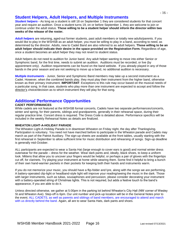# **Student Helpers, Adult Helpers, and Multiple Instruments**

*Student helpers -* As long as a student is still 18 on September 1 they are considered students for that concert year and require an audition. Once a student turns 19, on or before September 1, they are welcome to join or continue under the adult status. **Those willing to be a student helper should inform the director within two weeks of the release of the roster.**

*Adult helpers* are returning, aged-out former students, past adult members or totally new adults/parents. If you would like to play in the WSHSB as an adult helper, you must be willing to play in a band, according to need, as determined by the director. Adults, new to Cadet Band are also referred to as adult helpers. **Those willing to be an adult helper should indicate their desire in the space provided on the Registration Form.** Regardless of age, once a student becomes an adult helper they may not revert to student status.

Adult helpers do not need to audition for Junior band. Any adult helper wanting to move into either Senior or Symphonic band, for the first time, needs to submit an audition. Auditions must be recorded, or live (by appointment only). Audition requirements can be found on the band website. If you already played in any of those bands in the prior season and are not seeking to move up a band, no additional audition is necessary.

*Multiple Instruments* - Junior, Senior and Symphonic Band members may take up a second instrument as a Cadet. However, when the combined bands play, they must play their instrument from the higher band, otherwise known as their primary instrument. **IMPORTANT**: Exceptions to this rule may occur based on the musical needs of a particular song. In that case, students who play more than one instrument are expected to accept and follow the director's choice/decision as to which instrument they will play for that song.

# **Additional Performance Opportunities**

### **CADET PERFORMANCES**

While cadets are not featured at the WSHSB formal concerts, Cadets have two separate performances/concerts, winter and spring, for their parents, siblings and grandparents, generally in their rehearsal space, during their regular practice time. Concert dress is required. The Dress Code is detailed above. Performance specifics will be included in the weekly Rehearsal Notes as details are finalized.

### **WHEATON LIGHT-A-HOLIDAY PARADE**

The Wheaton Light-A-Holiday Parade is in downtown Wheaton on Friday night, the day after Thanksgiving. Participation is voluntary. You need not have marched before to participate in the Wheaton parade and Cadets may march as part of the Patriot Auxiliary. The sign-up sheets are available at the front tables, usually starting with the first rehearsal in September to allow sufficient time for music distribution and rehearsing of songs. Sign-up deadline is generally mid-October.

ALL participants are expected to wear a Santa Hat (large enough to cover ears is good) and normal winter dress outerwear for the parade – dress for the weather. Wear dark pants and, ideally, black shoes, to keep a uniform look. Mittens that allow you to uncover your fingers would be helpful, or perhaps a pair of gloves with the fingertips cut off, for clarinets. Try playing your instrument at home while wearing them. Some find it helpful to bring a bunch of their own hand-warmer packets in their pockets for keeping both their hands and instruments warm.

If you do not memorize your music, you should have a flip-folder and lyre, along with the songs we are performing. A battery-operated clip-light or headband-style light will improve your reading/seeing the music in the dark. Those with larger instruments, such as tubas, sousaphones and percussion, please consider decorating your instrument with a battery-operated string of Christmas lights. This is not required, but adds a festive touch to the band's appearance, if you are able to do it.

Unless directed otherwise, we gather at 5:00pm in the parking lot behind Wheaton's City Hall (NW corner of Wesley St and Wheaton Ave). Step-off is 6pm. Our unit number and pick-up location will be in the General Notes prior to the event. ALL CADETS, as well as parents and siblings of band members, are encouraged to attend and march with us directly behind the band. Again, all are to wear Santa Hats, dark pants and shoes.